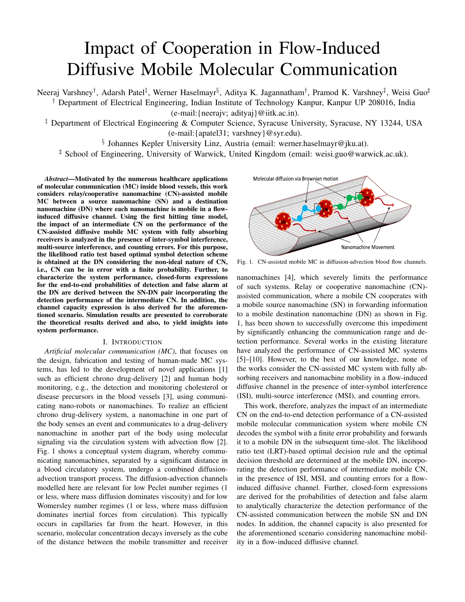# Impact of Cooperation in Flow-Induced Diffusive Mobile Molecular Communication

Neeraj Varshney*†* , Adarsh Patel*‡* , Werner Haselmayr*§* , Aditya K. Jagannatham*†* , Pramod K. Varshney*‡* , Weisi Guo*<sup>♯</sup> †* Department of Electrical Engineering, Indian Institute of Technology Kanpur, Kanpur UP 208016, India

(e-mail:{neerajv; adityaj}@iitk.ac.in).

*‡* Department of Electrical Engineering & Computer Science, Syracuse University, Syracuse, NY 13244, USA

(e-mail:{apatel31; varshney}@syr.edu).

*§* Johannes Kepler University Linz, Austria (email: werner.haselmayr@jku.at).

*<sup>♯</sup>* School of Engineering, University of Warwick, United Kingdom (email: weisi.guo@warwick.ac.uk).

*Abstract*—Motivated by the numerous healthcare applications of molecular communication (MC) inside blood vessels, this work considers relay/cooperative nanomachine (CN)-assisted mobile MC between a source nanomachine (SN) and a destination nanomachine (DN) where each nanomachine is mobile in a flowinduced diffusive channel. Using the first hitting time model, the impact of an intermediate CN on the performance of the CN-assisted diffusive mobile MC system with fully absorbing receivers is analyzed in the presence of inter-symbol interference, multi-source interference, and counting errors. For this purpose, the likelihood ratio test based optimal symbol detection scheme is obtained at the DN considering the non-ideal nature of CN, i.e., CN can be in error with a finite probability. Further, to characterize the system performance, closed-form expressions for the end-to-end probabilities of detection and false alarm at the DN are derived between the SN-DN pair incorporating the detection performance of the intermediate CN. In addition, the channel capacity expression is also derived for the aforementioned scenario. Simulation results are presented to corroborate the theoretical results derived and also, to yield insights into system performance.

#### I. INTRODUCTION

*Artificial molecular communication (MC)*, that focuses on the design, fabrication and testing of human-made MC systems, has led to the development of novel applications [1] such as efficient chrono drug-delivery [2] and human body monitoring, e.g., the detection and monitoring cholesterol or disease precursors in the blood vessels [3], using communicating nano-robots or nanomachines. To realize an efficient chrono drug-delivery system, a nanomachine in one part of the body senses an event and communicates to a drug-delivery nanomachine in another part of the body using molecular signaling via the circulation system with advection flow [2]. Fig. 1 shows a conceptual system diagram, whereby communicating nanomachines, separated by a significant distance in a blood circulatory system, undergo a combined diffusionadvection transport process. The diffusion-advection channels modelled here are relevant for low Peclet number regimes (1 or less, where mass diffusion dominates viscosity) and for low Womersley number regimes (1 or less, where mass diffusion dominates inertial forces from circulation). This typically occurs in capillaries far from the heart. However, in this scenario, molecular concentration decays inversely as the cube of the distance between the mobile transmitter and receiver



Fig. 1. CN-assisted mobile MC in diffusion-advection blood flow channels.

nanomachines [4], which severely limits the performance of such systems. Relay or cooperative nanomachine (CN) assisted communication, where a mobile CN cooperates with a mobile source nanomachine (SN) in forwarding information to a mobile destination nanomachine (DN) as shown in Fig. 1, has been shown to successfully overcome this impediment by significantly enhancing the communication range and detection performance. Several works in the existing literature have analyzed the performance of CN-assisted MC systems [5]–[10]. However, to the best of our knowledge, none of the works consider the CN-assisted MC system with fully absorbing receivers and nanomachine mobility in a flow-induced diffusive channel in the presence of inter-symbol interference (ISI), multi-source interference (MSI), and counting errors.

This work, therefore, analyzes the impact of an intermediate CN on the end-to-end detection performance of a CN-assisted mobile molecular communication system where mobile CN decodes the symbol with a finite error probability and forwards it to a mobile DN in the subsequent time-slot. The likelihood ratio test (LRT)-based optimal decision rule and the optimal decision threshold are determined at the mobile DN, incorporating the detection performance of intermediate mobile CN, in the presence of ISI, MSI, and counting errors for a flowinduced diffusive channel. Further, closed-form expressions are derived for the probabilities of detection and false alarm to analytically characterize the detection performance of the CN-assisted communication between the mobile SN and DN nodes. In addition, the channel capacity is also presented for the aforementioned scenario considering nanomachine mobility in a flow-induced diffusive channel.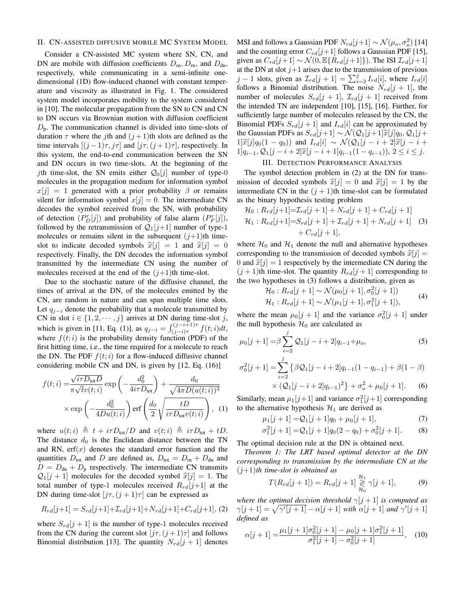#### II. CN-ASSISTED DIFFUSIVE MOBILE MC SYSTEM MODEL

Consider a CN-assisted MC system where SN, CN, and DN are mobile with diffusion coefficients  $D_{\rm sn}$ ,  $D_{\rm rn}$ , and  $D_{\rm dn}$ , respectively, while communicating in a semi-infinite onedimensional (1D) flow-induced channel with constant temperature and viscosity as illustrated in Fig. 1. The considered system model incorporates mobility to the system considered in [10]. The molecular propagation from the SN to CN and CN to DN occurs via Brownian motion with diffusion coefficient *D*p. The communication channel is divided into time-slots of duration  $\tau$  where the *j*th and  $(j+1)$ th slots are defined as the time intervals  $[(j-1)\tau, j\tau]$  and  $[j\tau, (j+1)\tau]$ , respectively. In this system, the end-to-end communication between the SN and DN occurs in two time-slots. At the beginning of the *j*th time-slot, the SN emits either  $Q_0[j]$  number of type-0 molecules in the propagation medium for information symbol  $x[j] = 1$  generated with a prior probability *β* or remains silent for information symbol  $x[j] = 0$ . The intermediate CN decodes the symbol received from the SN, with probability of detection  $(P_D^r[j])$  and probability of false alarm  $(P_F^r[j])$ , followed by the retransmission of  $Q_1[j+1]$  number of type-1 molecules or remains silent in the subsequent  $(j+1)$ th timeslot to indicate decoded symbols  $\hat{x}[j] = 1$  and  $\hat{x}[j] = 0$ respectively. Finally, the DN decodes the information symbol transmitted by the intermediate CN using the number of molecules received at the end of the  $(j+1)$ th time-slot.

Due to the stochastic nature of the diffusive channel, the times of arrival at the DN, of the molecules emitted by the CN, are random in nature and can span multiple time slots. Let  $q_{j-i}$  denote the probability that a molecule transmitted by CN in slot  $i \in \{1, 2, \dots, j\}$  arrives at DN during time-slot *j*, which is given in [11, Eq. (1)], as  $q_{j-i} = \int_{(j-i)\tau}^{(j-i+1)\tau} f(t;i)dt$ , where  $f(t; i)$  is the probability density function (PDF) of the first hitting time, i.e., the time required for a molecule to reach the DN. The PDF  $f(t; i)$  for a flow-induced diffusive channel considering mobile CN and DN, is given by [12, Eq. (16)]

$$
f(t; i) = \frac{\sqrt{i\tau D_{\text{tot}}D}}{\pi\sqrt{t}v(t; i)} \exp\left(-\frac{d_0^2}{4i\tau D_{\text{tot}}}\right) + \frac{d_0}{\sqrt{4\pi D(u(t; i))^3}}
$$

$$
\times \exp\left(-\frac{d_0^2}{4Du(t; i)}\right) \text{erf}\left(\frac{d_0}{2}\sqrt{\frac{tD}{i\tau D_{\text{tot}}v(t; i)}}\right), \quad (1)
$$

where  $u(t; i) \triangleq t + i\tau D_{\text{tot}}/D$  and  $v(t; i) \triangleq i\tau D_{\text{tot}} + tD$ . The distance  $d_0$  is the Euclidean distance between the TN and RN,  $erf(x)$  denotes the standard error function and the quantities  $D_{\text{tot}}$  and  $D$  are defined as,  $D_{\text{tot}} = D_{\text{rn}} + D_{\text{dn}}$  and  $D = D_{dn} + D_p$  respectively. The intermediate CN transmits  $Q_1[j + 1]$  molecules for the decoded symbol  $\hat{x}[j] = 1$ . The total number of type-1 molecules received  $R_{rd}[j+1]$  at the DN during time-slot  $[j\tau, (j+1)\tau]$  can be expressed as

$$
R_{rd}[j+1] = S_{rd}[j+1] + \mathcal{I}_{rd}[j+1] + N_{rd}[j+1] + C_{rd}[j+1], \text{ (2)}
$$

where  $S_{rd}[j+1]$  is the number of type-1 molecules received from the CN during the current slot  $[j\tau, (j+1)\tau]$  and follows Binomial distribution [13]. The quantity  $N_{rd}[j + 1]$  denotes

MSI and follows a Gaussian PDF  $N_{rd}[j+1] \sim \mathcal{N}(\mu_o, \sigma_o^2)$  [14] and the counting error  $C_{rd}[j+1]$  follows a Gaussian PDF [15], given as  $C_{rd}[j+1] \sim \mathcal{N}(0, \mathbb{E}\{R_{rd}[j+1]\})$ . The ISI  $\mathcal{I}_{rd}[j+1]$ at the DN at slot  $j+1$  arises due to the transmission of previous *j* − 1 slots, given as  $\mathcal{I}_{rd}[j + 1] = \sum_{i=2}^{j} I_{rd}[i]$ , where  $I_{rd}[i]$ follows a Binomial distribution. The noise  $N_{rd}[j + 1]$ , the number of molecules  $S_{rd}[j + 1], \mathcal{I}_{rd}[j + 1]$  received from the intended TN are independent [10], [15], [16]. Further, for sufficiently large number of molecules released by the CN, the Binomial PDFs  $S_{rd}[j+1]$  and  $I_{rd}[i]$  can be approximated by the Gaussian PDFs as  $S_{rd}[j+1]$   $\sim \mathcal{N}(\mathcal{Q}_1[j+1]\hat{x}[j]q_0, \mathcal{Q}_1[j+1]$  $1\frac{1}{2}$  $\hat{i}[j]q_0(1 - q_0)$  and  $I_{rd}[i] \sim \mathcal{N}(\mathcal{Q}_1[j - i + 2]\hat{x}[j - i + 1]$ 1] $q_{i-1}, Q_1[j-i+2]\hat{x}[j-i+1]q_{i-1}(1-q_{i-1}), 2 \leq i \leq j.$ 

#### III. DETECTION PERFORMANCE ANALYSIS

The symbol detection problem in (2) at the DN for transmission of decoded symbols  $\hat{x}[j] = 0$  and  $\hat{x}[j] = 1$  by the intermediate CN in the  $(j + 1)$ th time-slot can be formulated as the binary hypothesis testing problem

$$
\mathcal{H}_0: R_{rd}[j+1] = \mathcal{I}_{rd}[j+1] + N_{rd}[j+1] + C_{rd}[j+1]
$$
  

$$
\mathcal{H}_1: R_{rd}[j+1] = S_{rd}[j+1] + \mathcal{I}_{rd}[j+1] + N_{rd}[j+1]
$$
 (3)  
+  $C_{rd}[j+1]$ ,

where  $H_0$  and  $H_1$  denote the null and alternative hypotheses corresponding to the transmission of decoded symbols  $\hat{x}[j] =$ 0 and  $\hat{x}[j] = 1$  respectively by the intermediate CN during the  $(j + 1)$ th time-slot. The quantity  $R_{rd}[j + 1]$  corresponding to the two hypotheses in (3) follows a distribution, given as

$$
\mathcal{H}_0: R_{rd}[j+1] \sim \mathcal{N}(\mu_0[j+1], \sigma_0^2[j+1]) \n\mathcal{H}_1: R_{rd}[j+1] \sim \mathcal{N}(\mu_1[j+1], \sigma_1^2[j+1]),
$$
\n(4)

where the mean  $\mu_0[j+1]$  and the variance  $\sigma_0^2[j+1]$  under the null hypothesis  $H_0$  are calculated as

$$
\mu_0[j+1] = \beta \sum_{i=2}^j Q_1[j-i+2]q_{i-1} + \mu_o,
$$
\n(5)  
\n
$$
\sigma_0^2[j+1] = \sum_{i=2}^j \left\{ \beta Q_1[j-i+2]q_{i-1}(1-q_{i-1}) + \beta(1-\beta) \right\}
$$

$$
\times \left( \mathcal{Q}_1[j - i + 2]q_{i-1} \right)^2 \} + \sigma_o^2 + \mu_0[j + 1]. \tag{6}
$$

Similarly, mean  $\mu_1[j+1]$  and variance  $\sigma_1^2[j+1]$  corresponding to the alternative hypothesis  $\mathcal{H}_1$  are derived as

$$
\mu_1[j+1] = Q_1[j+1]q_0 + \mu_0[j+1],\tag{7}
$$

$$
\sigma_1^2[j+1] = Q_1[j+1]q_0(2-q_0) + \sigma_0^2[j+1].
$$
 (8)

The optimal decision rule at the DN is obtained next.

*Theorem 1: The LRT based optimal detector at the DN corresponding to transmission by the intermediate CN at the* (*j*+1)*th time-slot is obtained as*

$$
T(R_{rd}[j+1]) = R_{rd}[j+1] \underset{\mathcal{H}_0}{\geq} \gamma[j+1],\tag{9}
$$

*where the optimal decision threshold*  $\gamma[j+1]$  *is computed as γ*[*j* + 1] =  $\sqrt{\gamma'[j+1]} - \alpha[j+1]$  *with*  $\alpha[j+1]$  *and*  $\gamma'[j+1]$ *defined as*

$$
\alpha[j+1] = \frac{\mu_1[j+1]\sigma_0^2[j+1] - \mu_0[j+1]\sigma_1^2[j+1]}{\sigma_1^2[j+1] - \sigma_0^2[j+1]},
$$
 (10)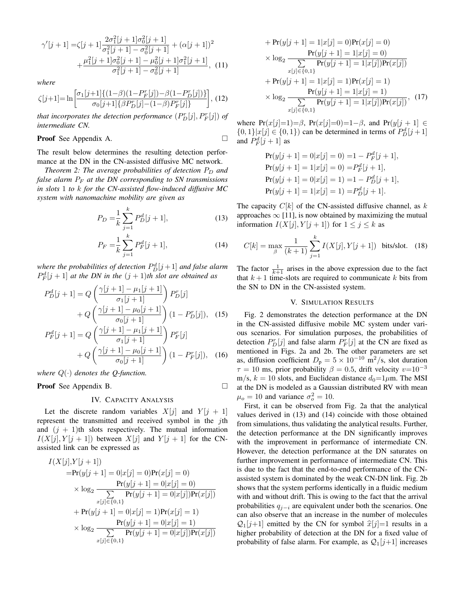$$
\gamma'[j+1] = \zeta[j+1] \frac{2\sigma_1^2[j+1]\sigma_0^2[j+1]}{\sigma_1^2[j+1] - \sigma_0^2[j+1]} + (\alpha[j+1])^2 + \frac{\mu_1^2[j+1]\sigma_0^2[j+1] - \mu_0^2[j+1]\sigma_1^2[j+1]}{\sigma_1^2[j+1] - \sigma_0^2[j+1]},
$$
(11)

*where*

$$
\zeta[j+1] = \ln \left[ \frac{\sigma_1[j+1]\{(1-\beta)(1-P_F^r[j]) - \beta(1-P_D^r[j])\}}{\sigma_0[j+1]\{\beta P_D^r[j] - (1-\beta)P_F^r[j]\}} \right], (12)
$$

*that incorporates the detection performance*  $(P_D^r[j], P_F^r[j])$  *of intermediate CN.*

**Proof** See Appendix A. 
$$
\Box
$$

The result below determines the resulting detection performance at the DN in the CN-assisted diffusive MC network.

*Theorem 2: The average probabilities of detection*  $P_D$  *and false alarm P<sup>F</sup> at the DN corresponding to SN transmissions in slots* 1 *to k for the CN-assisted flow-induced diffusive MC system with nanomachine mobility are given as*

$$
P_D = \frac{1}{k} \sum_{j=1}^{k} P_D^d[j+1],\tag{13}
$$

$$
P_F = \frac{1}{k} \sum_{j=1}^{k} P_F^d[j+1],\tag{14}
$$

*where the probabilities of detection*  $P_D^d[j+1]$  *and false alarm*  $P_F^d[j+1]$  *at the DN in the*  $(j+1)$ *th slot are obtained as* 

$$
P_D^d[j+1] = Q\left(\frac{\gamma[j+1] - \mu_1[j+1]}{\sigma_1[j+1]}\right) P_D^r[j] + Q\left(\frac{\gamma[j+1] - \mu_0[j+1]}{\sigma_0[j+1]}\right) (1 - P_D^r[j]),
$$
 (15)  

$$
P_F^d[j+1] = Q\left(\frac{\gamma[j+1] - \mu_1[j+1]}{\sigma_1[j+1]}\right) P_F^r[j]
$$

+ 
$$
Q\left(\frac{\gamma[j+1]-\mu_0[j+1]}{\sigma_0[j+1]}\right)(1-P_F^r[j]),
$$
 (16)

*where Q*(*·*) *denotes the Q-function.*

Proof See Appendix B. □

#### IV. CAPACITY ANALYSIS

Let the discrete random variables  $X[j]$  and  $Y[j + 1]$ represent the transmitted and received symbol in the *j*th and  $(j + 1)$ th slots respectively. The mutual information  $I(X[j], Y[j+1])$  between  $X[j]$  and  $Y[j+1]$  for the CNassisted link can be expressed as

$$
I(X[j], Y[j+1])
$$
  
= $\Pr(y[j+1] = 0 | x[j] = 0) \Pr(x[j] = 0)$   
 $\times \log_2 \frac{\Pr(y[j+1] = 0 | x[j] = 0)}{\sum_{x[j] \in \{0,1\}} \Pr(y[j+1] = 0 | x[j]) \Pr(x[j])}$   
+ $\Pr(y[j+1] = 0 | x[j] = 1) \Pr(x[j] = 1)$   
 $\times \log_2 \frac{\Pr(y[j+1] = 0 | x[j] = 1)}{\sum_{x[j] \in \{0,1\}} \Pr(y[j+1] = 0 | x[j]) \Pr(x[j])}$ 

+
$$
Pr(y[j + 1] = 1|x[j] = 0)Pr(x[j] = 0)
$$
  
\n
$$
\times log_2 \frac{Pr(y[j + 1] = 1|x[j] = 0)}{\sum_{x[j] \in \{0,1\}} Pr(y[j + 1] = 1|x[j])Pr(x[j])}
$$
  
\n+
$$
Pr(y[j + 1] = 1|x[j] = 1)Pr(x[j] = 1)
$$
  
\n
$$
\times log_2 \frac{Pr(y[j + 1] = 1|x[j] = 1)}{\sum_{x[j] \in \{0,1\}} Pr(y[j + 1] = 1|x[j])Pr(x[j])},
$$
(17)

where Pr(*x*[*j*]=1)=*β*, Pr(*x*[*j*]=0)=1−*β*, and Pr(*y*[*j* + 1] ∈ *{*0*,* 1*}* $|x[j]$  ∈ {0*,* 1*}* $)$  can be determined in terms of  $P_D^d[j+1]$ and  $P_F^d[j+1]$  as

$$
Pr(y[j + 1] = 0|x[j] = 0) = 1 - P_F^d[j + 1],
$$
  
\n
$$
Pr(y[j + 1] = 1|x[j] = 0) = P_F^d[j + 1],
$$
  
\n
$$
Pr(y[j + 1] = 0|x[j] = 1) = 1 - P_D^d[j + 1],
$$
  
\n
$$
Pr(y[j + 1] = 1|x[j] = 1) = P_D^d[j + 1].
$$

The capacity *C*[*k*] of the CN-assisted diffusive channel, as *k* approaches  $\infty$  [11], is now obtained by maximizing the mutual information  $I(X[j], Y[j+1])$  for  $1 \leq j \leq k$  as

$$
C[k] = \max_{\beta} \frac{1}{(k+1)} \sum_{j=1}^{k} I(X[j], Y[j+1]) \text{ bits/slot.} (18)
$$

The factor  $\frac{1}{k+1}$  arises in the above expression due to the fact that  $k+1$  time-slots are required to communicate  $k$  bits from the SN to DN in the CN-assisted system.

#### V. SIMULATION RESULTS

Fig. 2 demonstrates the detection performance at the DN in the CN-assisted diffusive mobile MC system under various scenarios. For simulation purposes, the probabilities of detection  $P_D^r[j]$  and false alarm  $P_F^r[j]$  at the CN are fixed as mentioned in Figs. 2a and 2b. The other parameters are set as, diffusion coefficient  $D_p = 5 \times 10^{-10}$  m<sup>2</sup>/s, slot duration  $\tau = 10$  ms, prior probability  $\beta = 0.5$ , drift velocity  $v=10^{-3}$  $m/s$ ,  $k = 10$  slots, and Euclidean distance  $d_0 = 1 \mu m$ . The MSI at the DN is modeled as a Gaussian distributed RV with mean  $\mu_o = 10$  and variance  $\sigma_o^2 = 10$ .

First, it can be observed from Fig. 2a that the analytical values derived in (13) and (14) coincide with those obtained from simulations, thus validating the analytical results. Further, the detection performance at the DN significantly improves with the improvement in performance of intermediate CN. However, the detection performance at the DN saturates on further improvement in performance of intermediate CN. This is due to the fact that the end-to-end performance of the CNassisted system is dominated by the weak CN-DN link. Fig. 2b shows that the system performs identically in a fluidic medium with and without drift. This is owing to the fact that the arrival probabilities *q<sup>j</sup>−<sup>i</sup>* are equivalent under both the scenarios. One can also observe that an increase in the number of molecules  $Q_1[i+1]$  emitted by the CN for symbol  $\hat{x}[i]=1$  results in a higher probability of detection at the DN for a fixed value of probability of false alarm. For example, as  $Q_1[j+1]$  increases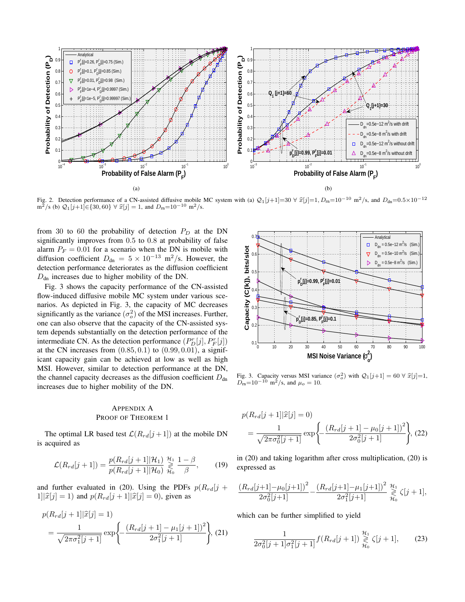

Fig. 2. Detection performance of a CN-assisted diffusive mobile MC system with (a)  $Q_1[j+1]=30 \forall \hat{x}[j]=1, D_m=10^{-10} \text{ m}^2/\text{s}$ , and  $D_{dn}=0.5\times10^{-12}$ m<sup>2</sup>/s (b)  $Q_1[j+1]$  $∈$ {30*,* 60}  $∀$   $\hat{x}[j] = 1$ , and  $D_m=10^{-10}$  m<sup>2</sup>/s.

from 30 to 60 the probability of detection *P<sup>D</sup>* at the DN significantly improves from 0*.*5 to 0*.*8 at probability of false alarm  $P_F = 0.01$  for a scenario when the DN is mobile with diffusion coefficient  $D_{dn} = 5 \times 10^{-13}$  m<sup>2</sup>/s. However, the detection performance deteriorates as the diffusion coefficient  $D<sub>dn</sub>$  increases due to higher mobility of the DN.

Fig. 3 shows the capacity performance of the CN-assisted flow-induced diffusive mobile MC system under various scenarios. As depicted in Fig. 3, the capacity of MC decreases significantly as the variance  $(\sigma_o^2)$  of the MSI increases. Further, one can also observe that the capacity of the CN-assisted system depends substantially on the detection performance of the intermediate CN. As the detection performance  $(P_D^r[j], P_F^r[j])$ at the CN increases from (0*.*85*,* 0*.*1) to (0*.*99*,* 0*.*01), a significant capacity gain can be achieved at low as well as high MSI. However, similar to detection performance at the DN, the channel capacity decreases as the diffusion coefficient  $D_{dn}$ increases due to higher mobility of the DN.

#### APPENDIX A PROOF OF THEOREM 1

The optimal LR based test  $\mathcal{L}(R_{rd}[j+1])$  at the mobile DN is acquired as

$$
\mathcal{L}(R_{rd}[j+1]) = \frac{p(R_{rd}[j+1]|\mathcal{H}_1)}{p(R_{rd}[j+1]|\mathcal{H}_0)} \underset{\mathcal{H}_0}{\overset{\mathcal{H}_1}{\geq}} \frac{1-\beta}{\beta},\qquad(19)
$$

and further evaluated in (20). Using the PDFs  $p(R_{rd}|j +$  $1||\hat{x}[j] = 1$  and  $p(R_{rd}[j + 1]|\hat{x}[j] = 0)$ , given as

$$
p(R_{rd}[j+1]|\hat{x}[j] = 1)
$$
  
=  $\frac{1}{\sqrt{2\pi\sigma_1^2[j+1]}} \exp\left\{-\frac{(R_{rd}[j+1] - \mu_1[j+1])^2}{2\sigma_1^2[j+1]}\right\}, (21)$ 



Fig. 3. Capacity versus MSI variance  $(\sigma_o^2)$  with  $\mathcal{Q}_1[j+1] = 60 \ \forall \ \hat{x}[j]=1$ ,  $D_m=10^{-10}$  m<sup>2</sup>/s, and  $\mu_o=10$ .

$$
p(R_{rd}[j+1]|\hat{x}[j] = 0)
$$
  
=  $\frac{1}{\sqrt{2\pi\sigma_0^2[j+1]}} \exp\left\{-\frac{(R_{rd}[j+1] - \mu_0[j+1])^2}{2\sigma_0^2[j+1]}\right\}, (22)$ 

in (20) and taking logarithm after cross multiplication, (20) is expressed as

$$
\frac{(R_{rd}[j+1]-\mu_0[j+1])^2}{2\sigma_0^2[j+1]} - \frac{(R_{rd}[j+1]-\mu_1[j+1])^2}{2\sigma_1^2[j+1]} \underset{\mathcal{H}_0}{\overset{\mathcal{H}_1}{\gtrless}} \zeta[j+1],
$$

which can be further simplified to yield

$$
\frac{1}{2\sigma_0^2[j+1]\sigma_1^2[j+1]}f(R_{rd}[j+1]) \underset{\mathcal{H}_0}{\overset{\mathcal{H}_1}{\geq}} \zeta[j+1],\qquad(23)
$$